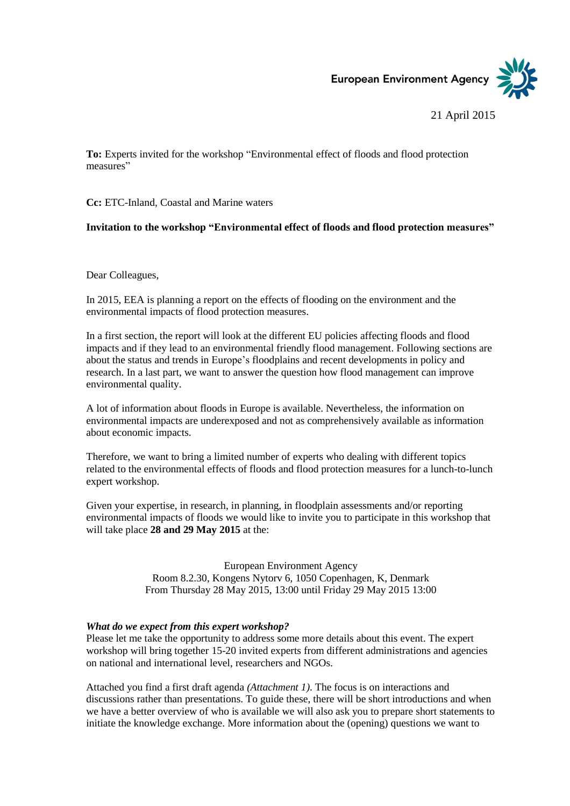European Environment Agency

## 21 April 2015

**To:** Experts invited for the workshop "Environmental effect of floods and flood protection measures"

**Cc:** ETC-Inland, Coastal and Marine waters

## **Invitation to the workshop "Environmental effect of floods and flood protection measures"**

Dear Colleagues,

In 2015, EEA is planning a report on the effects of flooding on the environment and the environmental impacts of flood protection measures.

In a first section, the report will look at the different EU policies affecting floods and flood impacts and if they lead to an environmental friendly flood management. Following sections are about the status and trends in Europe's floodplains and recent developments in policy and research. In a last part, we want to answer the question how flood management can improve environmental quality.

A lot of information about floods in Europe is available. Nevertheless, the information on environmental impacts are underexposed and not as comprehensively available as information about economic impacts.

Therefore, we want to bring a limited number of experts who dealing with different topics related to the environmental effects of floods and flood protection measures for a lunch-to-lunch expert workshop.

Given your expertise, in research, in planning, in floodplain assessments and/or reporting environmental impacts of floods we would like to invite you to participate in this workshop that will take place **28 and 29 May 2015** at the:

> European Environment Agency Room 8.2.30, Kongens Nytorv 6, 1050 Copenhagen, K, Denmark From Thursday 28 May 2015, 13:00 until Friday 29 May 2015 13:00

## *What do we expect from this expert workshop?*

Please let me take the opportunity to address some more details about this event. The expert workshop will bring together 15-20 invited experts from different administrations and agencies on national and international level, researchers and NGOs.

Attached you find a first draft agenda *(Attachment 1)*. The focus is on interactions and discussions rather than presentations. To guide these, there will be short introductions and when we have a better overview of who is available we will also ask you to prepare short statements to initiate the knowledge exchange. More information about the (opening) questions we want to